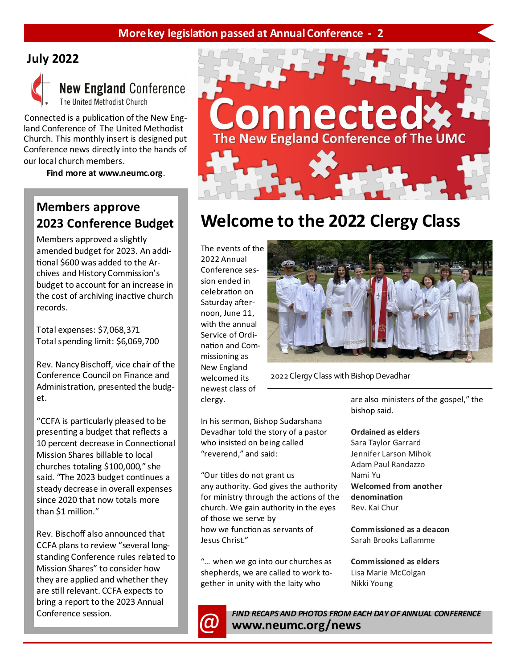### **More key legislation passed at Annual Conference - 2**

## **July 2022**



## **New England Conference** The United Methodist Church

Connected is a publication of the New England Conference of The United Methodist Church. This monthly insert is designed put Conference news directly into the hands of our local church members.

**Find more at www.neumc.org**.

# **Members approve 2023 Conference Budget**

Members approved a slightly amended budget for 2023. An additional \$600 was added to the Archives and History Commission's budget to account for an increase in the cost of archiving inactive church records.

Total expenses: \$7,068,371 Total spending limit: \$6,069,700

Rev. Nancy Bischoff, vice chair of the Conference Council on Finance and Administration, presented the budget.

"CCFA is particularly pleased to be presenting a budget that reflects a 10 percent decrease in Connectional Mission Shares billable to local churches totaling \$100,000," she said. "The 2023 budget continues a steady decrease in overall expenses since 2020 that now totals more than \$1 million."

Rev. Bischoff also announced that CCFA plans to review "several longstanding Conference rules related to Mission Shares" to consider how they are applied and whether they are still relevant. CCFA expects to bring a report to the 2023 Annual Conference session.



# **Welcome to the 2022 Clergy Class**

The events of the 2022 Annual Conference session ended in celebration on Saturday afternoon, June 11, with the annual Service of Ordination and Commissioning as New England welcomed its newest class of clergy.



2022 Clergy Class with Bishop Devadhar

In his sermon, Bishop Sudarshana Devadhar told the story of a pastor who insisted on being called "reverend," and said:

"Our titles do not grant us any authority. God gives the authority for ministry through the actions of the church. We gain authority in the eyes of those we serve by how we function as servants of Jesus Christ."

"… when we go into our churches as shepherds, we are called to work together in unity with the laity who

are also ministers of the gospel," the bishop said.

#### **Ordained as elders**

Sara Taylor Garrard Jennifer Larson Mihok Adam Paul Randazzo Nami Yu **Welcomed from another denomination** Rev. Kai Chur

**Commissioned as a deacon** Sarah Brooks Laflamme

**Commissioned as elders** Lisa Marie McColgan Nikki Young



*CO* FIND RECAPS AND PHOTOS FROM EACH DAY OF ANNUAL CONFERENCE **www.neumc.org/news**